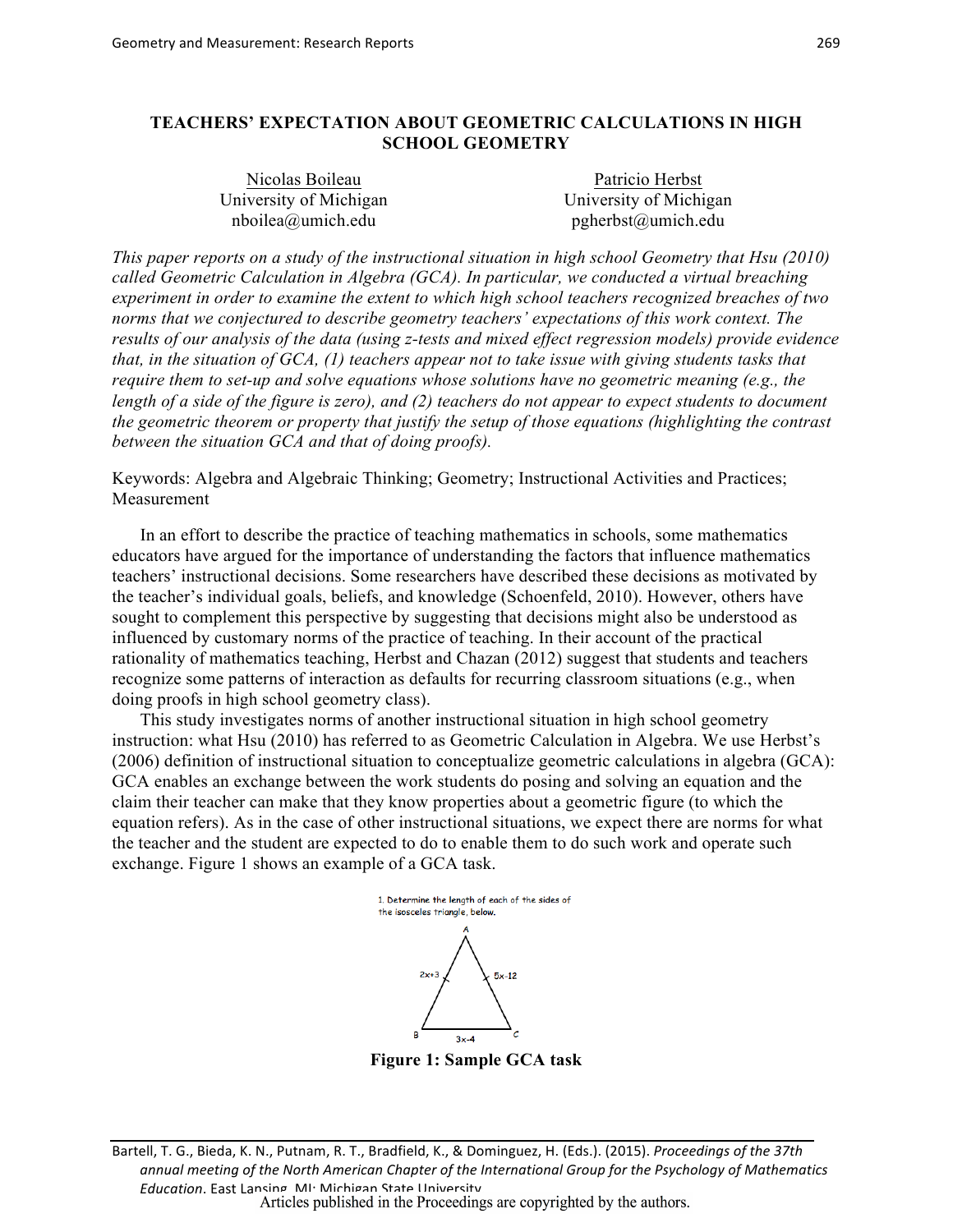# **TEACHERS' EXPECTATION ABOUT GEOMETRIC CALCULATIONS IN HIGH SCHOOL GEOMETRY**

| Nicolas Boileau        | Patricio Herbst        |  |  |
|------------------------|------------------------|--|--|
| University of Michigan | University of Michigan |  |  |
| $nboilea(a)$ umich.edu | pgherbst@umich.edu     |  |  |

*This paper reports on a study of the instructional situation in high school Geometry that Hsu (2010) called Geometric Calculation in Algebra (GCA). In particular, we conducted a virtual breaching experiment in order to examine the extent to which high school teachers recognized breaches of two norms that we conjectured to describe geometry teachers' expectations of this work context. The results of our analysis of the data (using z-tests and mixed effect regression models) provide evidence that, in the situation of GCA, (1) teachers appear not to take issue with giving students tasks that require them to set-up and solve equations whose solutions have no geometric meaning (e.g., the length of a side of the figure is zero), and (2) teachers do not appear to expect students to document the geometric theorem or property that justify the setup of those equations (highlighting the contrast between the situation GCA and that of doing proofs).*

Keywords: Algebra and Algebraic Thinking; Geometry; Instructional Activities and Practices; Measurement

In an effort to describe the practice of teaching mathematics in schools, some mathematics educators have argued for the importance of understanding the factors that influence mathematics teachers' instructional decisions. Some researchers have described these decisions as motivated by the teacher's individual goals, beliefs, and knowledge (Schoenfeld, 2010). However, others have sought to complement this perspective by suggesting that decisions might also be understood as influenced by customary norms of the practice of teaching. In their account of the practical rationality of mathematics teaching, Herbst and Chazan (2012) suggest that students and teachers recognize some patterns of interaction as defaults for recurring classroom situations (e.g., when doing proofs in high school geometry class).

This study investigates norms of another instructional situation in high school geometry instruction: what Hsu (2010) has referred to as Geometric Calculation in Algebra. We use Herbst's (2006) definition of instructional situation to conceptualize geometric calculations in algebra (GCA): GCA enables an exchange between the work students do posing and solving an equation and the claim their teacher can make that they know properties about a geometric figure (to which the equation refers). As in the case of other instructional situations, we expect there are norms for what the teacher and the student are expected to do to enable them to do such work and operate such exchange. Figure 1 shows an example of a GCA task.



**Figure 1: Sample GCA task**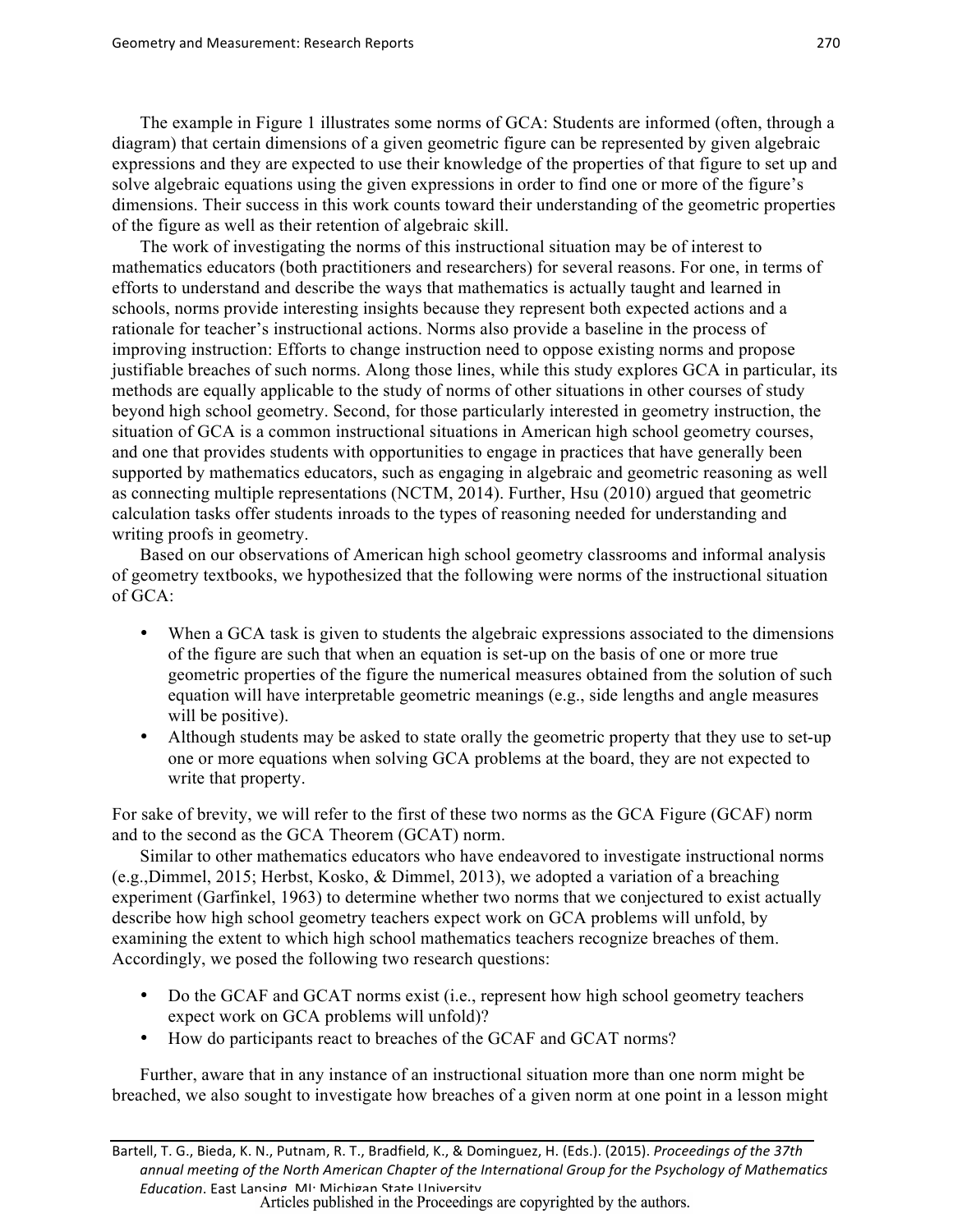The example in Figure 1 illustrates some norms of GCA: Students are informed (often, through a diagram) that certain dimensions of a given geometric figure can be represented by given algebraic expressions and they are expected to use their knowledge of the properties of that figure to set up and solve algebraic equations using the given expressions in order to find one or more of the figure's dimensions. Their success in this work counts toward their understanding of the geometric properties of the figure as well as their retention of algebraic skill.

The work of investigating the norms of this instructional situation may be of interest to mathematics educators (both practitioners and researchers) for several reasons. For one, in terms of efforts to understand and describe the ways that mathematics is actually taught and learned in schools, norms provide interesting insights because they represent both expected actions and a rationale for teacher's instructional actions. Norms also provide a baseline in the process of improving instruction: Efforts to change instruction need to oppose existing norms and propose justifiable breaches of such norms. Along those lines, while this study explores GCA in particular, its methods are equally applicable to the study of norms of other situations in other courses of study beyond high school geometry. Second, for those particularly interested in geometry instruction, the situation of GCA is a common instructional situations in American high school geometry courses, and one that provides students with opportunities to engage in practices that have generally been supported by mathematics educators, such as engaging in algebraic and geometric reasoning as well as connecting multiple representations (NCTM, 2014). Further, Hsu (2010) argued that geometric calculation tasks offer students inroads to the types of reasoning needed for understanding and writing proofs in geometry.

Based on our observations of American high school geometry classrooms and informal analysis of geometry textbooks, we hypothesized that the following were norms of the instructional situation of GCA:

- When a GCA task is given to students the algebraic expressions associated to the dimensions of the figure are such that when an equation is set-up on the basis of one or more true geometric properties of the figure the numerical measures obtained from the solution of such equation will have interpretable geometric meanings (e.g., side lengths and angle measures will be positive).
- Although students may be asked to state orally the geometric property that they use to set-up one or more equations when solving GCA problems at the board, they are not expected to write that property.

For sake of brevity, we will refer to the first of these two norms as the GCA Figure (GCAF) norm and to the second as the GCA Theorem (GCAT) norm.

Similar to other mathematics educators who have endeavored to investigate instructional norms (e.g.,Dimmel, 2015; Herbst, Kosko, & Dimmel, 2013), we adopted a variation of a breaching experiment (Garfinkel, 1963) to determine whether two norms that we conjectured to exist actually describe how high school geometry teachers expect work on GCA problems will unfold, by examining the extent to which high school mathematics teachers recognize breaches of them. Accordingly, we posed the following two research questions:

- Do the GCAF and GCAT norms exist (i.e., represent how high school geometry teachers expect work on GCA problems will unfold)?
- How do participants react to breaches of the GCAF and GCAT norms?

Further, aware that in any instance of an instructional situation more than one norm might be breached, we also sought to investigate how breaches of a given norm at one point in a lesson might

Bartell, T. G., Bieda, K. N., Putnam, R. T., Bradfield, K., & Dominguez, H. (Eds.). (2015). *Proceedings of the 37th* annual meeting of the North American Chapter of the International Group for the Psychology of Mathematics *Education*. East Lansing, MI: Michigan State University.<br>Articles published in the Proceedings are copyrighted by the authors.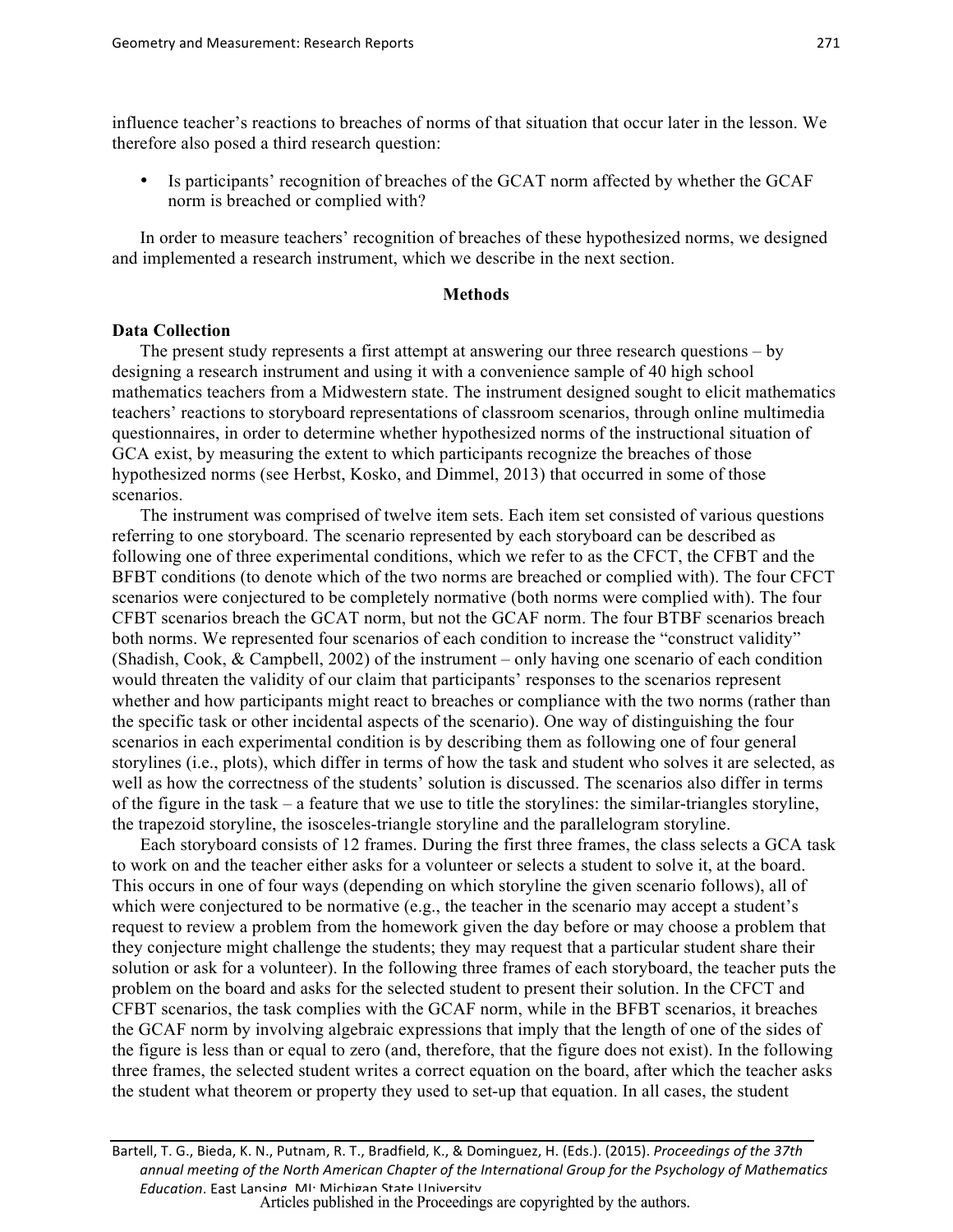influence teacher's reactions to breaches of norms of that situation that occur later in the lesson. We therefore also posed a third research question:

Is participants' recognition of breaches of the GCAT norm affected by whether the GCAF norm is breached or complied with?

In order to measure teachers' recognition of breaches of these hypothesized norms, we designed and implemented a research instrument, which we describe in the next section.

## **Methods**

#### **Data Collection**

The present study represents a first attempt at answering our three research questions – by designing a research instrument and using it with a convenience sample of 40 high school mathematics teachers from a Midwestern state. The instrument designed sought to elicit mathematics teachers' reactions to storyboard representations of classroom scenarios, through online multimedia questionnaires, in order to determine whether hypothesized norms of the instructional situation of GCA exist, by measuring the extent to which participants recognize the breaches of those hypothesized norms (see Herbst, Kosko, and Dimmel, 2013) that occurred in some of those scenarios.

The instrument was comprised of twelve item sets. Each item set consisted of various questions referring to one storyboard. The scenario represented by each storyboard can be described as following one of three experimental conditions, which we refer to as the CFCT, the CFBT and the BFBT conditions (to denote which of the two norms are breached or complied with). The four CFCT scenarios were conjectured to be completely normative (both norms were complied with). The four CFBT scenarios breach the GCAT norm, but not the GCAF norm. The four BTBF scenarios breach both norms. We represented four scenarios of each condition to increase the "construct validity" (Shadish, Cook, & Campbell, 2002) of the instrument – only having one scenario of each condition would threaten the validity of our claim that participants' responses to the scenarios represent whether and how participants might react to breaches or compliance with the two norms (rather than the specific task or other incidental aspects of the scenario). One way of distinguishing the four scenarios in each experimental condition is by describing them as following one of four general storylines (i.e., plots), which differ in terms of how the task and student who solves it are selected, as well as how the correctness of the students' solution is discussed. The scenarios also differ in terms of the figure in the task – a feature that we use to title the storylines: the similar-triangles storyline, the trapezoid storyline, the isosceles-triangle storyline and the parallelogram storyline.

Each storyboard consists of 12 frames. During the first three frames, the class selects a GCA task to work on and the teacher either asks for a volunteer or selects a student to solve it, at the board. This occurs in one of four ways (depending on which storyline the given scenario follows), all of which were conjectured to be normative (e.g., the teacher in the scenario may accept a student's request to review a problem from the homework given the day before or may choose a problem that they conjecture might challenge the students; they may request that a particular student share their solution or ask for a volunteer). In the following three frames of each storyboard, the teacher puts the problem on the board and asks for the selected student to present their solution. In the CFCT and CFBT scenarios, the task complies with the GCAF norm, while in the BFBT scenarios, it breaches the GCAF norm by involving algebraic expressions that imply that the length of one of the sides of the figure is less than or equal to zero (and, therefore, that the figure does not exist). In the following three frames, the selected student writes a correct equation on the board, after which the teacher asks the student what theorem or property they used to set-up that equation. In all cases, the student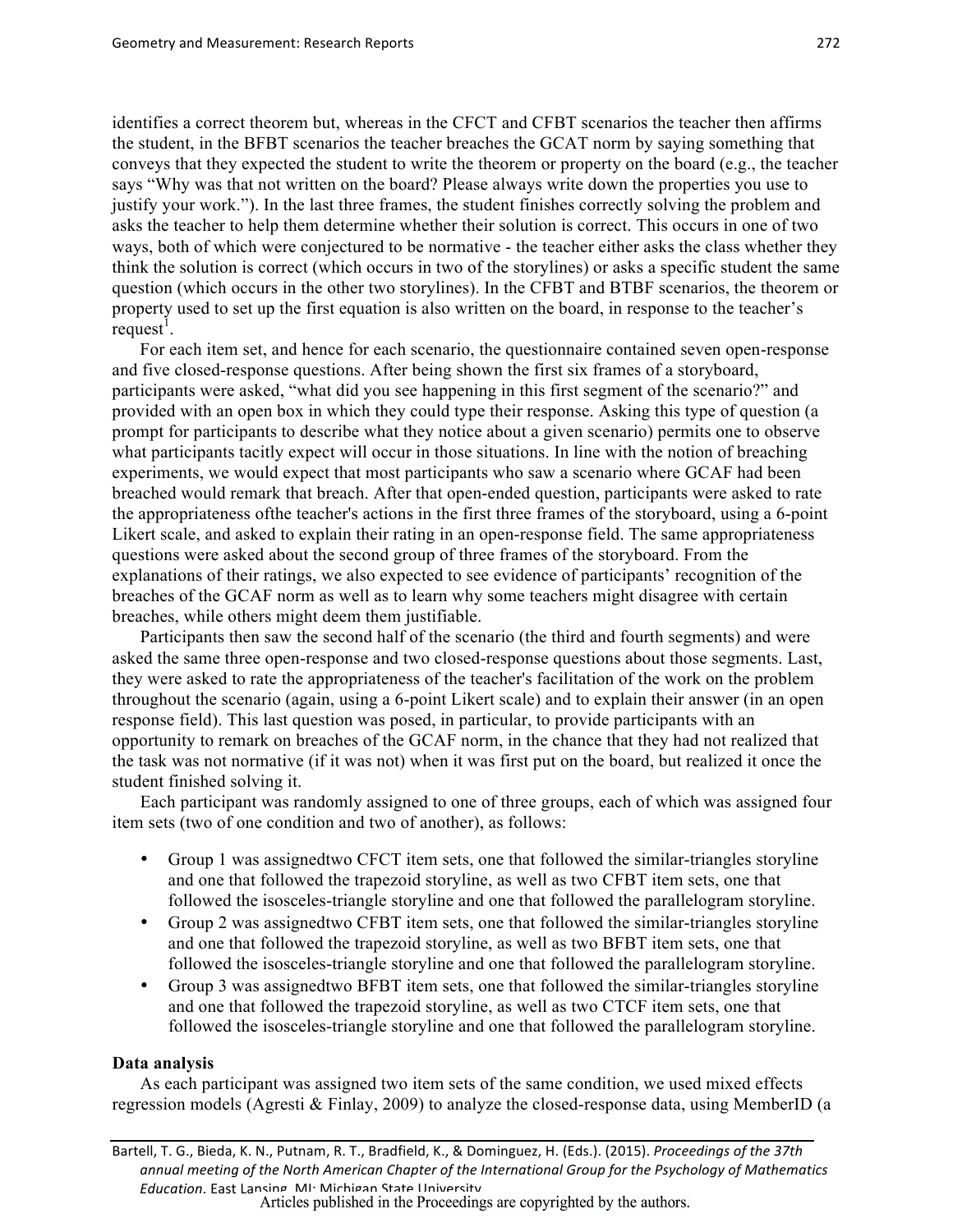identifies a correct theorem but, whereas in the CFCT and CFBT scenarios the teacher then affirms the student, in the BFBT scenarios the teacher breaches the GCAT norm by saying something that conveys that they expected the student to write the theorem or property on the board (e.g., the teacher says "Why was that not written on the board? Please always write down the properties you use to justify your work."). In the last three frames, the student finishes correctly solving the problem and asks the teacher to help them determine whether their solution is correct. This occurs in one of two ways, both of which were conjectured to be normative - the teacher either asks the class whether they think the solution is correct (which occurs in two of the storylines) or asks a specific student the same question (which occurs in the other two storylines). In the CFBT and BTBF scenarios, the theorem or property used to set up the first equation is also written on the board, in response to the teacher's  $request<sup>1</sup>$ .

For each item set, and hence for each scenario, the questionnaire contained seven open-response and five closed-response questions. After being shown the first six frames of a storyboard, participants were asked, "what did you see happening in this first segment of the scenario?" and provided with an open box in which they could type their response. Asking this type of question (a prompt for participants to describe what they notice about a given scenario) permits one to observe what participants tacitly expect will occur in those situations. In line with the notion of breaching experiments, we would expect that most participants who saw a scenario where GCAF had been breached would remark that breach. After that open-ended question, participants were asked to rate the appropriateness ofthe teacher's actions in the first three frames of the storyboard, using a 6-point Likert scale, and asked to explain their rating in an open-response field. The same appropriateness questions were asked about the second group of three frames of the storyboard. From the explanations of their ratings, we also expected to see evidence of participants' recognition of the breaches of the GCAF norm as well as to learn why some teachers might disagree with certain breaches, while others might deem them justifiable.

Participants then saw the second half of the scenario (the third and fourth segments) and were asked the same three open-response and two closed-response questions about those segments. Last, they were asked to rate the appropriateness of the teacher's facilitation of the work on the problem throughout the scenario (again, using a 6-point Likert scale) and to explain their answer (in an open response field). This last question was posed, in particular, to provide participants with an opportunity to remark on breaches of the GCAF norm, in the chance that they had not realized that the task was not normative (if it was not) when it was first put on the board, but realized it once the student finished solving it.

Each participant was randomly assigned to one of three groups, each of which was assigned four item sets (two of one condition and two of another), as follows:

- Group 1 was assigned two CFCT item sets, one that followed the similar-triangles storyline and one that followed the trapezoid storyline, as well as two CFBT item sets, one that followed the isosceles-triangle storyline and one that followed the parallelogram storyline.
- Group 2 was assignedtwo CFBT item sets, one that followed the similar-triangles storyline and one that followed the trapezoid storyline, as well as two BFBT item sets, one that followed the isosceles-triangle storyline and one that followed the parallelogram storyline.
- Group 3 was assignedtwo BFBT item sets, one that followed the similar-triangles storyline and one that followed the trapezoid storyline, as well as two CTCF item sets, one that followed the isosceles-triangle storyline and one that followed the parallelogram storyline.

## **Data analysis**

As each participant was assigned two item sets of the same condition, we used mixed effects regression models (Agresti & Finlay, 2009) to analyze the closed-response data, using MemberID (a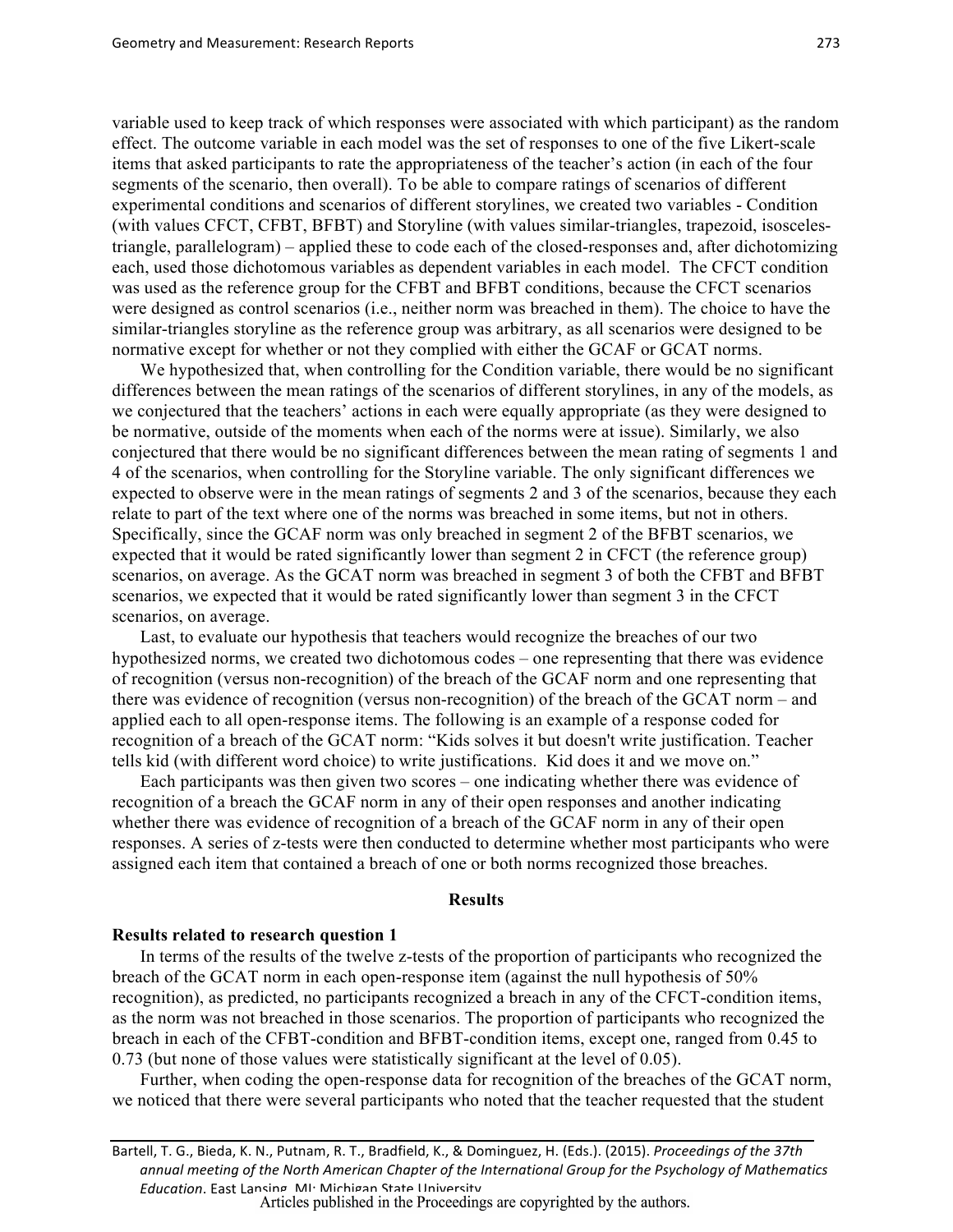variable used to keep track of which responses were associated with which participant) as the random effect. The outcome variable in each model was the set of responses to one of the five Likert-scale items that asked participants to rate the appropriateness of the teacher's action (in each of the four segments of the scenario, then overall). To be able to compare ratings of scenarios of different experimental conditions and scenarios of different storylines, we created two variables - Condition (with values CFCT, CFBT, BFBT) and Storyline (with values similar-triangles, trapezoid, isoscelestriangle, parallelogram) – applied these to code each of the closed-responses and, after dichotomizing each, used those dichotomous variables as dependent variables in each model. The CFCT condition was used as the reference group for the CFBT and BFBT conditions, because the CFCT scenarios were designed as control scenarios (i.e., neither norm was breached in them). The choice to have the similar-triangles storyline as the reference group was arbitrary, as all scenarios were designed to be normative except for whether or not they complied with either the GCAF or GCAT norms.

We hypothesized that, when controlling for the Condition variable, there would be no significant differences between the mean ratings of the scenarios of different storylines, in any of the models, as we conjectured that the teachers' actions in each were equally appropriate (as they were designed to be normative, outside of the moments when each of the norms were at issue). Similarly, we also conjectured that there would be no significant differences between the mean rating of segments 1 and 4 of the scenarios, when controlling for the Storyline variable. The only significant differences we expected to observe were in the mean ratings of segments 2 and 3 of the scenarios, because they each relate to part of the text where one of the norms was breached in some items, but not in others. Specifically, since the GCAF norm was only breached in segment 2 of the BFBT scenarios, we expected that it would be rated significantly lower than segment 2 in CFCT (the reference group) scenarios, on average. As the GCAT norm was breached in segment 3 of both the CFBT and BFBT scenarios, we expected that it would be rated significantly lower than segment 3 in the CFCT scenarios, on average.

Last, to evaluate our hypothesis that teachers would recognize the breaches of our two hypothesized norms, we created two dichotomous codes – one representing that there was evidence of recognition (versus non-recognition) of the breach of the GCAF norm and one representing that there was evidence of recognition (versus non-recognition) of the breach of the GCAT norm – and applied each to all open-response items. The following is an example of a response coded for recognition of a breach of the GCAT norm: "Kids solves it but doesn't write justification. Teacher tells kid (with different word choice) to write justifications. Kid does it and we move on."

Each participants was then given two scores – one indicating whether there was evidence of recognition of a breach the GCAF norm in any of their open responses and another indicating whether there was evidence of recognition of a breach of the GCAF norm in any of their open responses. A series of z-tests were then conducted to determine whether most participants who were assigned each item that contained a breach of one or both norms recognized those breaches.

#### **Results**

## **Results related to research question 1**

In terms of the results of the twelve z-tests of the proportion of participants who recognized the breach of the GCAT norm in each open-response item (against the null hypothesis of 50% recognition), as predicted, no participants recognized a breach in any of the CFCT-condition items, as the norm was not breached in those scenarios. The proportion of participants who recognized the breach in each of the CFBT-condition and BFBT-condition items, except one, ranged from 0.45 to 0.73 (but none of those values were statistically significant at the level of 0.05).

Further, when coding the open-response data for recognition of the breaches of the GCAT norm, we noticed that there were several participants who noted that the teacher requested that the student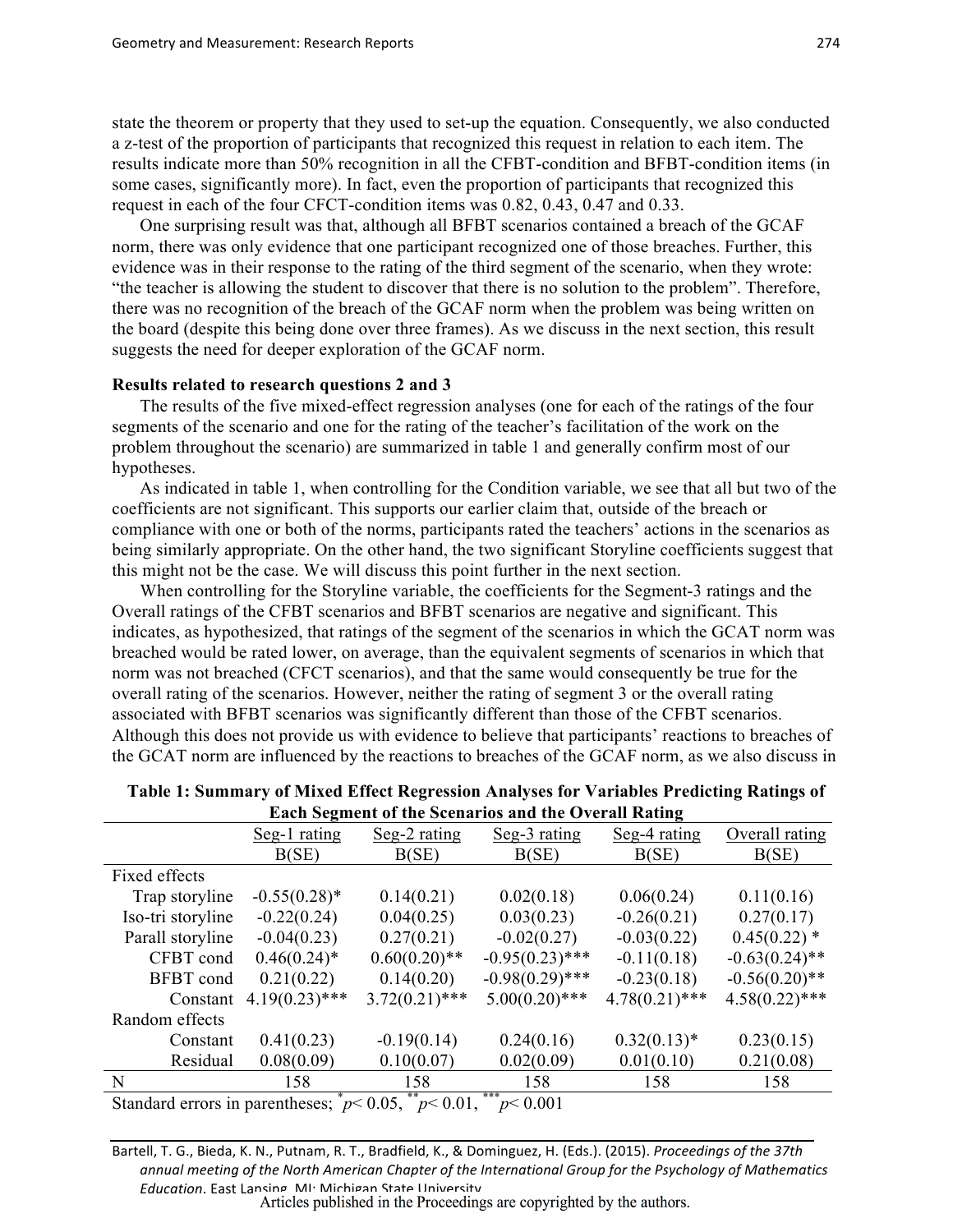state the theorem or property that they used to set-up the equation. Consequently, we also conducted a z-test of the proportion of participants that recognized this request in relation to each item. The results indicate more than 50% recognition in all the CFBT-condition and BFBT-condition items (in some cases, significantly more). In fact, even the proportion of participants that recognized this request in each of the four CFCT-condition items was 0.82, 0.43, 0.47 and 0.33.

One surprising result was that, although all BFBT scenarios contained a breach of the GCAF norm, there was only evidence that one participant recognized one of those breaches. Further, this evidence was in their response to the rating of the third segment of the scenario, when they wrote: "the teacher is allowing the student to discover that there is no solution to the problem". Therefore, there was no recognition of the breach of the GCAF norm when the problem was being written on the board (despite this being done over three frames). As we discuss in the next section, this result suggests the need for deeper exploration of the GCAF norm.

#### **Results related to research questions 2 and 3**

The results of the five mixed-effect regression analyses (one for each of the ratings of the four segments of the scenario and one for the rating of the teacher's facilitation of the work on the problem throughout the scenario) are summarized in table 1 and generally confirm most of our hypotheses.

As indicated in table 1, when controlling for the Condition variable, we see that all but two of the coefficients are not significant. This supports our earlier claim that, outside of the breach or compliance with one or both of the norms, participants rated the teachers' actions in the scenarios as being similarly appropriate. On the other hand, the two significant Storyline coefficients suggest that this might not be the case. We will discuss this point further in the next section.

When controlling for the Storyline variable, the coefficients for the Segment-3 ratings and the Overall ratings of the CFBT scenarios and BFBT scenarios are negative and significant. This indicates, as hypothesized, that ratings of the segment of the scenarios in which the GCAT norm was breached would be rated lower, on average, than the equivalent segments of scenarios in which that norm was not breached (CFCT scenarios), and that the same would consequently be true for the overall rating of the scenarios. However, neither the rating of segment 3 or the overall rating associated with BFBT scenarios was significantly different than those of the CFBT scenarios. Although this does not provide us with evidence to believe that participants' reactions to breaches of the GCAT norm are influenced by the reactions to breaches of the GCAF norm, as we also discuss in

| Each Scenicht of the Secharios and the Overall Kathle                                         |                  |                  |                   |                  |                  |  |  |
|-----------------------------------------------------------------------------------------------|------------------|------------------|-------------------|------------------|------------------|--|--|
|                                                                                               | Seg-1 rating     | Seg-2 rating     | Seg-3 rating      | Seg-4 rating     | Overall rating   |  |  |
|                                                                                               | B(SE)            | B(SE)            | B(SE)             | B(SE)            | B(SE)            |  |  |
| Fixed effects                                                                                 |                  |                  |                   |                  |                  |  |  |
| Trap storyline                                                                                | $-0.55(0.28)$ *  | 0.14(0.21)       | 0.02(0.18)        | 0.06(0.24)       | 0.11(0.16)       |  |  |
| Iso-tri storyline                                                                             | $-0.22(0.24)$    | 0.04(0.25)       | 0.03(0.23)        | $-0.26(0.21)$    | 0.27(0.17)       |  |  |
| Parall storyline                                                                              | $-0.04(0.23)$    | 0.27(0.21)       | $-0.02(0.27)$     | $-0.03(0.22)$    | $0.45(0.22)$ *   |  |  |
| CFBT cond                                                                                     | $0.46(0.24)$ *   | $0.60(0.20)$ **  | $-0.95(0.23)$ *** | $-0.11(0.18)$    | $-0.63(0.24)$ ** |  |  |
| BFBT cond                                                                                     | 0.21(0.22)       | 0.14(0.20)       | $-0.98(0.29)$ *** | $-0.23(0.18)$    | $-0.56(0.20)$ ** |  |  |
| Constant                                                                                      | $4.19(0.23)$ *** | $3.72(0.21)$ *** | $5.00(0.20)$ ***  | $4.78(0.21)$ *** | $4.58(0.22)$ *** |  |  |
| Random effects                                                                                |                  |                  |                   |                  |                  |  |  |
| Constant                                                                                      | 0.41(0.23)       | $-0.19(0.14)$    | 0.24(0.16)        | $0.32(0.13)*$    | 0.23(0.15)       |  |  |
| Residual                                                                                      | 0.08(0.09)       | 0.10(0.07)       | 0.02(0.09)        | 0.01(0.10)       | 0.21(0.08)       |  |  |
| N                                                                                             | 158              | 158              | 158               | 158              | 158              |  |  |
| * $20.05$ ** $20.01$<br>***<br>The contract of the contract<br>$\sim$ 0.01<br>$\alpha$ . 1.1. |                  |                  |                   |                  |                  |  |  |

# **Table 1: Summary of Mixed Effect Regression Analyses for Variables Predicting Ratings of Each Segment of the Scenarios and the Overall Rating**

Standard errors in parentheses;  $p < 0.05$ ,  $\binom{p}{p} < 0.01$ ,  $\binom{***}{p} < 0.001$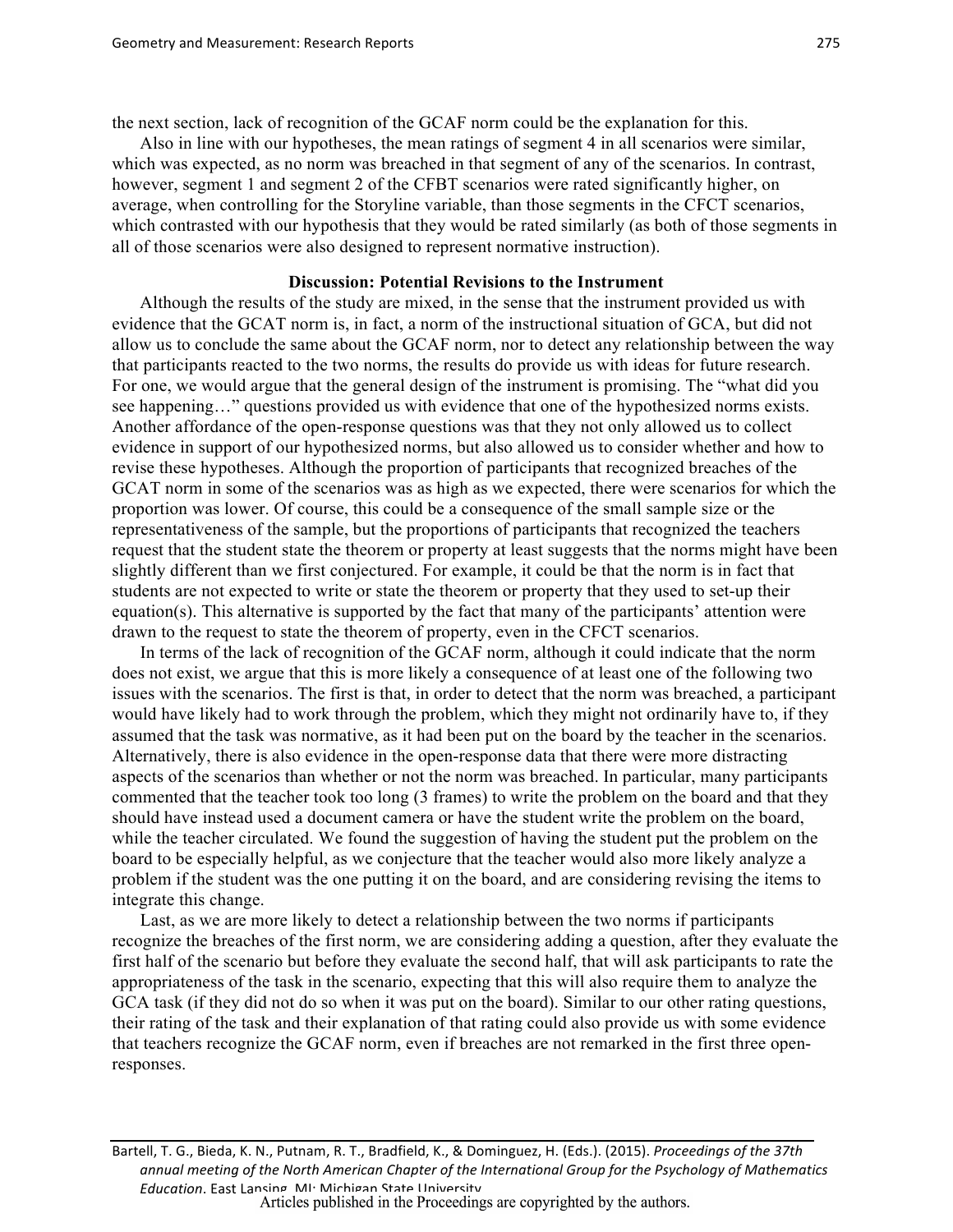the next section, lack of recognition of the GCAF norm could be the explanation for this.

Also in line with our hypotheses, the mean ratings of segment 4 in all scenarios were similar, which was expected, as no norm was breached in that segment of any of the scenarios. In contrast, however, segment 1 and segment 2 of the CFBT scenarios were rated significantly higher, on average, when controlling for the Storyline variable, than those segments in the CFCT scenarios, which contrasted with our hypothesis that they would be rated similarly (as both of those segments in all of those scenarios were also designed to represent normative instruction).

#### **Discussion: Potential Revisions to the Instrument**

Although the results of the study are mixed, in the sense that the instrument provided us with evidence that the GCAT norm is, in fact, a norm of the instructional situation of GCA, but did not allow us to conclude the same about the GCAF norm, nor to detect any relationship between the way that participants reacted to the two norms, the results do provide us with ideas for future research. For one, we would argue that the general design of the instrument is promising. The "what did you see happening…" questions provided us with evidence that one of the hypothesized norms exists. Another affordance of the open-response questions was that they not only allowed us to collect evidence in support of our hypothesized norms, but also allowed us to consider whether and how to revise these hypotheses. Although the proportion of participants that recognized breaches of the GCAT norm in some of the scenarios was as high as we expected, there were scenarios for which the proportion was lower. Of course, this could be a consequence of the small sample size or the representativeness of the sample, but the proportions of participants that recognized the teachers request that the student state the theorem or property at least suggests that the norms might have been slightly different than we first conjectured. For example, it could be that the norm is in fact that students are not expected to write or state the theorem or property that they used to set-up their equation(s). This alternative is supported by the fact that many of the participants' attention were drawn to the request to state the theorem of property, even in the CFCT scenarios.

In terms of the lack of recognition of the GCAF norm, although it could indicate that the norm does not exist, we argue that this is more likely a consequence of at least one of the following two issues with the scenarios. The first is that, in order to detect that the norm was breached, a participant would have likely had to work through the problem, which they might not ordinarily have to, if they assumed that the task was normative, as it had been put on the board by the teacher in the scenarios. Alternatively, there is also evidence in the open-response data that there were more distracting aspects of the scenarios than whether or not the norm was breached. In particular, many participants commented that the teacher took too long (3 frames) to write the problem on the board and that they should have instead used a document camera or have the student write the problem on the board, while the teacher circulated. We found the suggestion of having the student put the problem on the board to be especially helpful, as we conjecture that the teacher would also more likely analyze a problem if the student was the one putting it on the board, and are considering revising the items to integrate this change.

Last, as we are more likely to detect a relationship between the two norms if participants recognize the breaches of the first norm, we are considering adding a question, after they evaluate the first half of the scenario but before they evaluate the second half, that will ask participants to rate the appropriateness of the task in the scenario, expecting that this will also require them to analyze the GCA task (if they did not do so when it was put on the board). Similar to our other rating questions, their rating of the task and their explanation of that rating could also provide us with some evidence that teachers recognize the GCAF norm, even if breaches are not remarked in the first three openresponses.